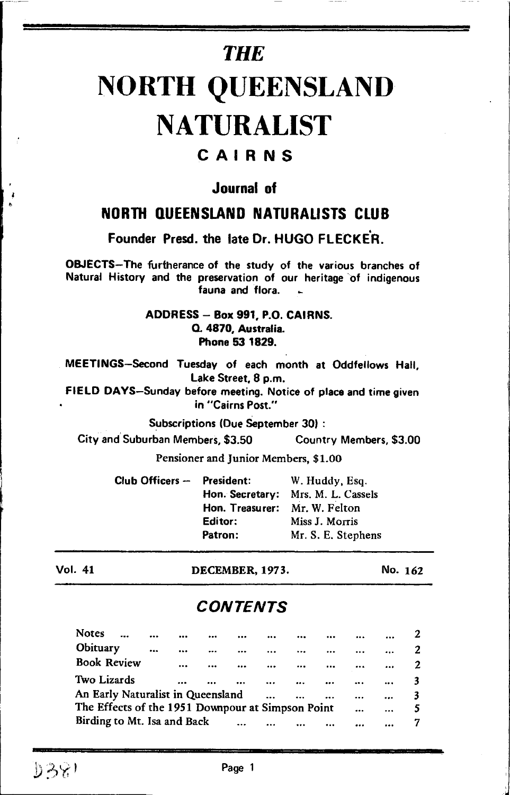# **THE**

# NORTH QUEENSLAND **NATURALIST**

# CAIRNS

# Journal of

# NORTH QUEENSLAND NATURALISTS CLUB

Founder Presd. the late Dr. HUGO FLECKEh.

O&IECTS-The furtherance of the study of the various branches of Natural History and the preservation of our heritage of indigenous fauna and flora.

#### ADDRESS - Box 991, P.O. CAIRNS. Q. 4870, Australia. Phone 53 1829.

MEETINGS-Second Tuesday of each month at Oddfetlows Hall, Lake Street, 8 p.m.

FIELD DAYS-Sunday before meeting. Notice of place and time given in "Cairns Post."

Subscriptions (Due September 30) :

City and Suburban Members, \$3.50 Country Members, \$3.00

Pensioner and Junior Members, \$1.0O

Club Officers  $-$  President: W. Huddy, Esq. Hon. Secretary: Mrs. M. L. Cassels Hon. Treasurer: Mr. W. Felton Editor: Patron: Miss J. Morris Mr. S. E. Stephens

Vol. 41 DECEMBER,I973. No. 162

# **CONTENTS**

| <b>Notes</b>                                          |  | $\cdots$ |  |  |           |  |          | <br> |  |
|-------------------------------------------------------|--|----------|--|--|-----------|--|----------|------|--|
| Obituary                                              |  |          |  |  |           |  |          |      |  |
| <b>Book Review</b>                                    |  |          |  |  |           |  | $\cdots$ |      |  |
| Two Lizards                                           |  |          |  |  | $\ddotsc$ |  |          | <br> |  |
| An Early Naturalist in Queensland<br><br>$\cdots$<br> |  |          |  |  |           |  |          | <br> |  |
| The Effects of the 1951 Downpour at Simpson Point     |  |          |  |  |           |  |          | <br> |  |
| Birding to Mt. Isa and Back<br>$\ddotsc$              |  |          |  |  |           |  |          |      |  |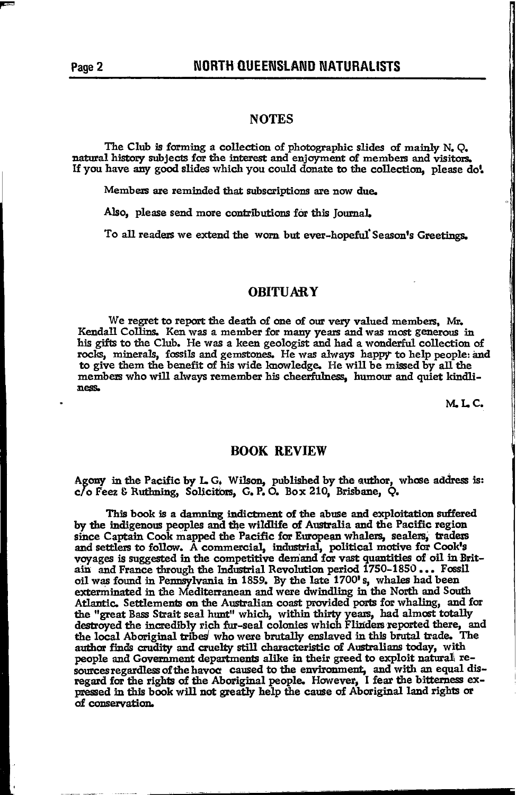#### **NOTES**

The Club is forming a collection of photographic slides of mainly N.Q. natural history subjects for the interest and enjoyment of members and visitors. If you have any good slides which you could donate to the collection, please do!

Members are reminded that subscriptions are now due.

Also, please send more contributions for this Journal.

To all readers we extend the worn but ever-hopeful Season's Greetings.

#### **OBITUARY**

We regret to report the death of one of our very valued members. Mr. Kendall Collins. Ken was a member for many years and was most generous in his gifts to the Club. He was a keen geologist and had a wonderful collection of rocks, minerals, fossils and gemstones. He was always happy to help people and to give them the benefit of his wide knowledge. He will be missed by all the members who will always remember his cheerfulness. humour and quiet kindliness.

M.L.C.

#### **BOOK REVIEW**

Agony in the Pacific by L G. Wilson, published by the author, whose address is: c/o Feez & Ruthning, Solicitors, G. P. O. Box 210, Brisbane, Q.

This book is a damning indictment of the abuse and exploitation suffered by the indigenous peoples and the wildlife of Australia and the Pacific region since Captain Cook mapped the Pacific for European whalers, sealers, traders and settlers to follow. A commercial, industrial, political motive for Cook's<br>voyages is suggested in the competitive demand for vast quantities of oil in Brit-<br>ain and France through the Industrial Revolution period 1750oil was found in Pennsylvania in 1859. By the late 1700's, whales had been exterminated in the Mediterranean and were dwindling in the North and South Atlantic. Settlements on the Australian coast provided ports for whaling, and for the "great Bass Strait seal hunt" which, within thirty years, had almost totally destroved the incredibly rich fur-seal colonies which Flinders reported there, and the local Aboriginal tribes who were brutally enslaved in this brutal trade. The author finds crudity and cruelty still characteristic of Australians today, with people and Government departments alike in their greed to exploit natural resources regardless of the havor caused to the environment, and with an equal dis-<br>regard for the rights of the Aboriginal people. However, I fear the bitterness expressed in this book will not greatly help the cause of Aboriginal land rights or of conservation.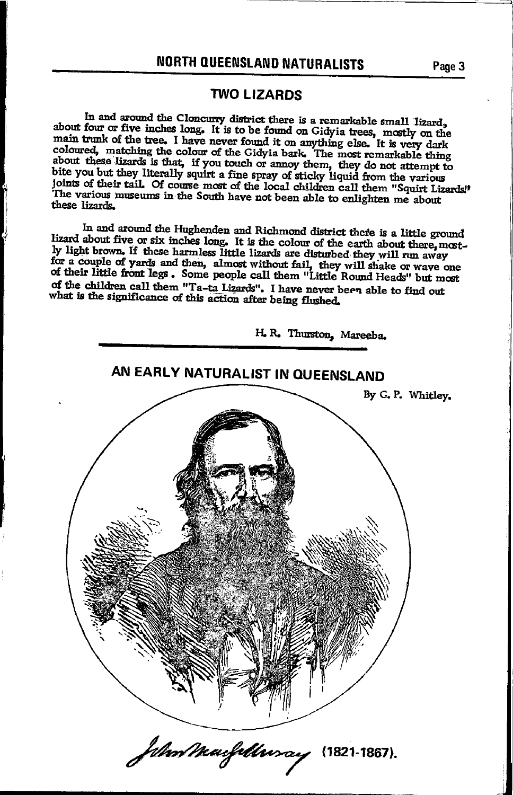## **NORTH QUEENSLAND NATURALISTS**

#### **TWO LIZARDS**

In and around the Cloncurry district there is a remarkable small lizard, about four or five inches long. It is to be found on Gidyia trees, mostly on the main trunk of the tree. I have never found it on anything else. It is very dark coloured, matching the colour of the Gidyia bark. The most remarkable thing about these lizards is that, if you touch or amoy them, they do not attempt to bite you but they literally squirt a fine spray of sticky liquid from the various joints of their tail. Of course most of the local children call them "Squirt Lizards!" The various museums in the South have not been able to enlighten me about these lizards.

In and around the Hughenden and Richmond district there is a little ground lizard about five or six inches long. It is the colour of the earth about there, mostly light brown. If these harmless little lizards are disturbed they will run away for a couple of yards and then, almost without fail, they will shake or wave one<br>of their little front legs. Some people call them "Little Round Heads" but most of the children call them "Ta-ta Lizards". I have never been able to find out what is the significance of this action after being flushed.



Page 3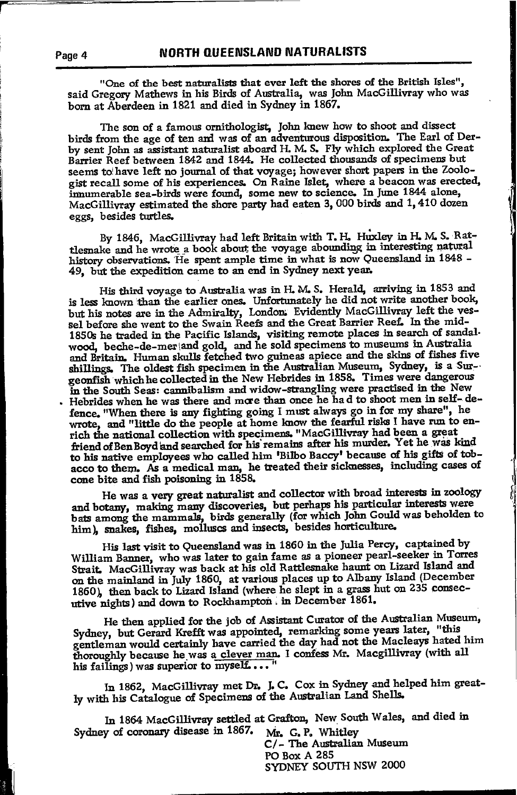"One of the best naturalists that ever left the shores of the British Isles", said Gregory Mathews in his Birds of Australia, was John MacGillivray who was born at Aberdeen in 1821 and died in Sydney in 1867.

The son of a famous ornithologist, John knew how to shoot and dissect birds from the age of ten and was of an adventurous disposition. The Earl of Derby sent John as assistant naturalist aboard H. M. S. Fly which explored the Great Barrier Reef between 1842 and 1844. He collected thousands of specimens but seems to have left no journal of that voyage; however short papers in the Zoologist recall some of his experiences. On Raine Islet, where a beacon was erected, imumerable sea-birds were found, some new to science. In June 1844 alone, MacGillivray estimated the shore party had eaten 3,000 birds and 1,410 dozen eggs, besides turtles.

By 1846, MacGillivray had left Britain with T. H. Huxley in H. M. S. Rattlesnake and he wrote a book about the voyage abounding in interesting natural history observations. He spent ample time in what is now Queensland in 1848 -49, but the expedition came to an end in Sydney next year.

His third voyage to Australia was in H. M. S. Herald, arriving in 1853 and is less known than the earlier ones. Unfortunately he did not write another book, but his notes are in the Admiralty, London: Evidently MacGillivray left the vessel before she went to the Swain Reefs and the Great Barrier Reef. In the mid-1850s he traded in the Pacific Islands, visiting remote places in search of sandalwood, beche-de-mer and gold, and he sold specimens to museums in Australia and Britain. Human skulls fetched two guineas apiece and the skins of fishes five shillings. The oldest fish specimen in the Australian Museum, Sydney, is a Surgeonfish which he collected in the New Hebrides in 1858. Times were dangerous in the South Seas: cannibalism and widow-strangling were practised in the New . Hebrides when he was there and more than once he had to shoot men in self-defence. "When there is any fighting going I must always go in for my share", he wrote, and "little do the people at home know the fearful risks I have run to enrich the national collection with specimens. "MacGillivray had been a great friend of Ben Boyd and searched for his remains after his murder. Yet he was kind to his native employees who called him 'Bilbo Baccy' because of his gifts of tobacco to them. As a medical man, he treated their sicknesses, including cases of cone bite and fish poisoning in 1858.

He was a very great naturalist and collector with broad interests in zoology and botany, making many discoveries, but perhaps his particular interests were bats among the mammals, birds generally (for which John Gould was beholden to him), snakes, fishes, molluscs and insects, besides horticulture.

His last visit to Queensland was in 1860 in the Julia Percy, captained by William Banner, who was later to gain fame as a pioneer pearl-seeker in Torres Strait. MacGillivray was back at his old Rattlesnake haunt on Lizard Island and on the mainland in July 1860, at various places up to Albany Island (December 1860), then back to Lizard Island (where he slept in a grass hut on 235 consecutive nights) and down to Rockhampton in December 1861.

He then applied for the job of Assistant Curator of the Australian Museum, Sydney, but Gerard Krefft was appointed, remarking some years later, "this gentleman would certainly have carried the day had not the Macleays hated him thoroughly because he was a clever man. I confess Mr. Macgillivray (with all his failings) was superior to myself...."

In 1862, MacGillivray met Dr. J.C. Cox in Sydney and helped him greatly with his Catalogue of Specimens of the Australian Land Shells.

In 1864 MacGillivray settled at Grafton, New South Wales, and died in Sydney of coronary disease in 1867. Mr. G.P. Whitley

C/- The Australian Museum PO Box A 285 SYDNEY SOUTH NSW 2000

Page 4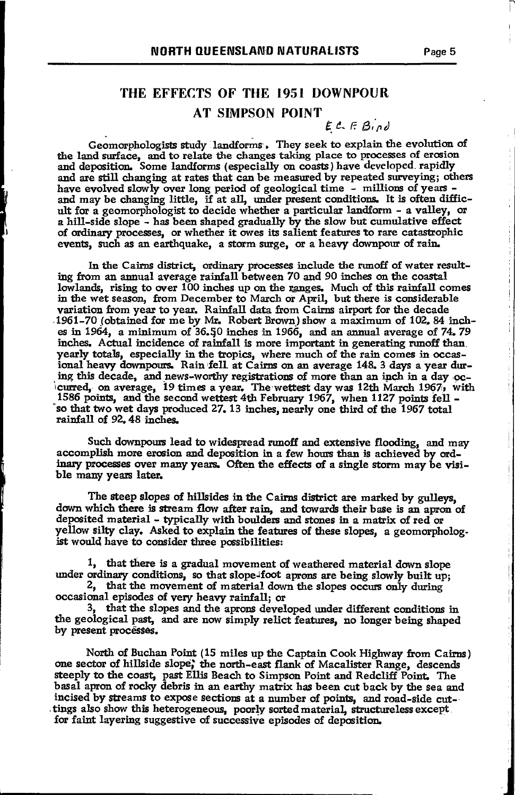## THE EFFECTS OF THE 1951 DOWNPOUR **AT SIMPSON POINT**

 $E C F Bind$ 

Geomorphologists study landforms, They seek to explain the evolution of the land surface, and to relate the changes taking place to processes of erosion and deposition. Some landforms (especially on coasts) have developed rapidly and are still changing at rates that can be measured by repeated surveying; others have evolved slowly over long period of geological time - millions of years and may be changing little, if at all, under present conditions. It is often difficult for a geomorphologist to decide whether a particular landform - a valley, or a hill-side slope - has been shaped gradually by the slow but cumulative effect of ordinary processes, or whether it owes its salient features to rare catastrophic events, such as an earthquake, a storm surge, or a heavy downpour of rain.

In the Cairns district, ordinary processes include the runoff of water resulting from an annual average rainfall between 70 and 90 inches on the coastal lowlands, rising to over 100 inches up on the ranges. Much of this rainfall comes in the wet season, from December to March or April, but there is considerable variation from year to year. Rainfall data from Cairns airport for the decade 1961-70 (obtained for me by Mr. Robert Brown) show a maximum of 102, 84 inches in 1964, a minimum of  $36.50$  inches in 1966, and an annual average of 74.79 inches. Actual incidence of rainfall is more important in generating runoff than yearly totals, especially in the tropics, where much of the rain comes in occas-<br>ional heavy downpours. Rain fell at Cairns on an average 148. 3 days a year during this decade. and news-worthy registrations of more than an inch in a day oclowred, on average, 19 times a year. The wettest day was 12th March 1967, with<br>1586 points, and the second wettest 4th February 1967, when 1127 points fell so that two wet days produced 27, 13 inches, nearly one third of the 1967 total rainfall of 92, 48 inches.

Such downpours lead to widespread runoff and extensive flooding, and may accomplish more erosion and deposition in a few hours than is achieved by ordinary processes over many years. Often the effects of a single storm may be visible many years later.

The steep slopes of hillsides in the Cairns district are marked by gulleys. down which there is stream flow after rain, and towards their base is an apron of deposited material - typically with boulders and stones in a matrix of red or yellow silty clay. Asked to explain the features of these slopes, a geomorphologist would have to consider three possibilities:

1, that there is a gradual movement of weathered material down slope under ordinary conditions, so that slope-foot aprons are being slowly built up;

2. that the movement of material down the slopes occurs only during occasional episodes of very heavy rainfall; or

3, that the slopes and the aprons developed under different conditions in the geological past, and are now simply relict features, no longer being shaped by present processes.

North of Buchan Point (15 miles up the Captain Cook Highway from Cairns) one sector of hillside slope, the north-east flank of Macalister Range, descends steeply to the coast, past Ellis Beach to Simpson Point and Redcliff Point. The basal apron of rocky debris in an earthy matrix has been cut back by the sea and incised by streams to expose sections at a number of points, and road-side cuttings also show this heterogeneous, poorly sorted material, structureless except for faint layering suggestive of successive episodes of deposition.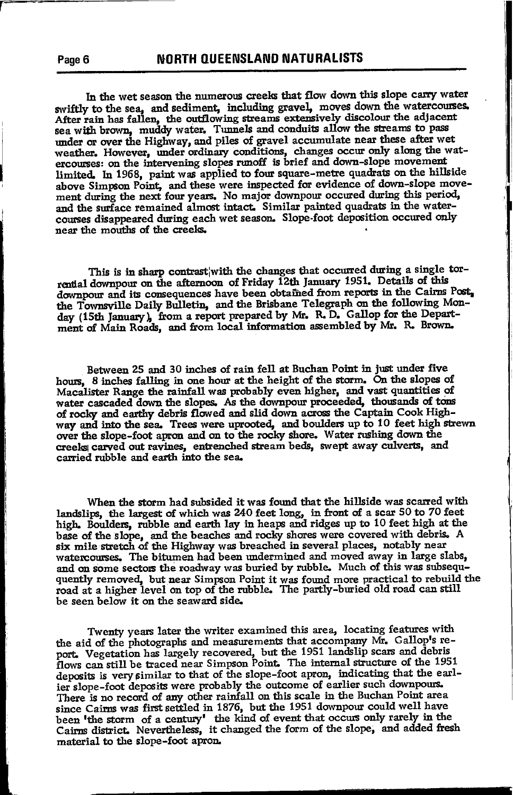In the wet season the numerous creeks that flow down this slope carry water swiftly to the sea, and sediment, including gravel, moves down the watercourses. After rain has fallen, the outflowing streams extensively discolour the adjacent sea with brown, muddy water. Tunnels and conduits allow the streams to pass under or over the Highway, and piles of gravel accumulate near these after wet weather. However, under ordinary conditions, changes occur only along the watercourses: on the intervening slopes runoff is brief and down-slope movement limited. In 1968, paint was applied to four square-metre quadrats on the hillside above Simpson Point, and these were inspected for evidence of down-slope movement during the next four years. No major downpour occured during this period, and the surface remained almost intact. Similar painted quadrats in the watercourses disappeared during each wet season. Slope-foot deposition occured only near the mouths of the creeks.

This is in sharp contrast with the changes that occurred during a single torrential downpour on the afternoon of Friday 12th January 1951. Details of this downpour and its consequences have been obtained from reports in the Cairns Post, the Townsville Daily Bulletin, and the Brisbane Telegraph on the following Monday (15th January), from a report prepared by Mr. R.D. Gallop for the Department of Main Roads, and from local information assembled by Mr. R. Brown.

Between 25 and 30 inches of rain fell at Buchan Point in just under five hours. 8 inches falling in one hour at the height of the storm. On the slopes of Macalister Range the rainfall was probably even higher, and vast quantities of water cascaded down the slopes. As the downpour proceeded, thousands of tons of rocky and earthy debris flowed and slid down across the Captain Cook Highway and into the sea. Trees were uprooted, and boulders up to 10 feet high strewn over the slope-foot apron and on to the rocky shore. Water rushing down the creeks carved out ravines, entrenched stream beds, swept away culverts, and carried rubble and earth into the sea.

When the storm had subsided it was found that the hillside was scarred with landslips, the largest of which was 240 feet long, in front of a scar 50 to 70 feet<br>high. Boulders, rubble and earth lay in heaps and ridges up to 10 feet high at the base of the slope, and the beaches and rocky shores were covered with debris. A six mile stretch of the Highway was breached in several places, notably near watercourses. The bitumen had been undermined and moved away in large slabs. and on some sectors the roadway was buried by rubble. Much of this was subseququently removed, but near Simpson Point it was found more practical to rebuild the road at a higher level on top of the rubble. The partly-buried old road can still be seen below it on the seaward side.

Twenty years later the writer examined this area, locating features with the aid of the photographs and measurements that accompany Mr. Gallop's report. Vegetation has largely recovered, but the 1951 landslip scars and debris<br>flows can still be traced near Simpson Point. The internal structure of the 1951 deposits is very similar to that of the slope-foot apron, indicating that the earlier slope-foot deposits were probably the outcome of earlier such downpours. There is no record of any other rainfall on this scale in the Buchan Point area since Cairns was first settled in 1876, but the 1951 downpour could well have been 'the storm of a century' the kind of event that occurs only rarely in the Cairns district. Nevertheless, it changed the form of the slope, and added fresh material to the slope-foot apron.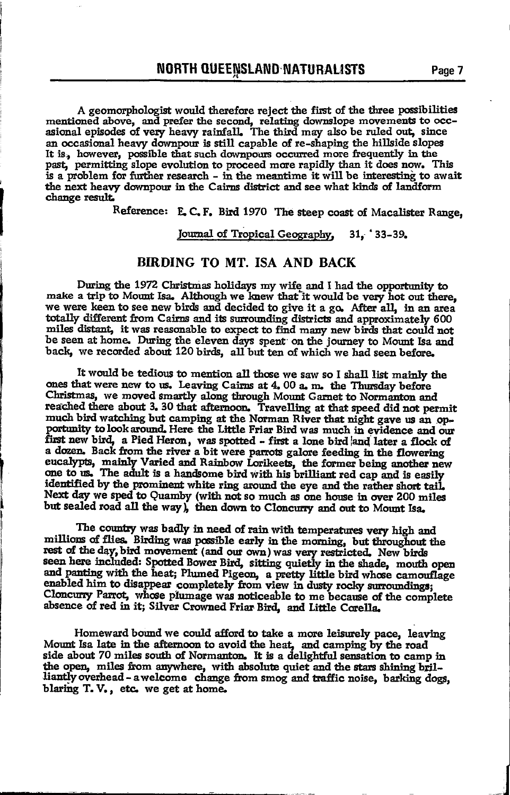A geomorphologist would therefore reject the first of the three possibilities mentioned above, and prefer the second, relating downslope movements to occ-<br>asional episodes of very heavy rainfall. The third may also be ruled out, since an occasional heavy downpour is still capable of re-shaping the hillside slopes It is, however, possible that such downpours occurred more frequently in the past, permitting slope evolution to proceed more rapidly than it does now. This is a problem for further research - in the meantime it will be interesting to await the next heavy downpour in the Cairns district and see what kinds of landform change result.

Reference: E.C.F. Bird 1970 The steep coast of Macalister Range,

Journal of Tropical Geography, 31, 33-39.

#### BIRDING TO MT. ISA AND BACK

During the 1972 Christmas holidays my wife and I had the opportunity to make a trip to Mount Isa. Although we knew that it would be very hot out there. we were keen to see new birds and decided to give it a go. After all, in an area totally different from Cairns and its surrounding districts and approximately 600 miles distant, it was reasonable to expect to find many new birds that could not be seen at home. During the eleven days spent on the journey to Mount Isa and back. we recorded about 120 birds. all but ten of which we had seen before.

It would be tedious to mention all those we saw so I shall list mainly the ones that were new to us. Leaving Cairns at 4.00 a.m. the Thursday before Christmas, we moved smartly along through Mount Garnet to Normanton and reached there about 3. 30 that afternoon. Travelling at that speed did not permit much bird watching but camping at the Norman River that night gave us an opportunity to look around. Here the Little Friar Bird was much in evidence and our first new bird, a Pied Heron, was spotted - first a lone bird and later a flock of<br>a dozen. Back from the river a bit were parrots galore feeding in the flowering eucalypts, mainly Varied and Rainbow Lorikeets, the former being another new<br>one to us. The adult is a handsome bird with his brilliant red cap and is easily identified by the prominent white ring around the eve and the rather short tail. Next day we sped to Quamby (with not so much as one house in over 200 miles but sealed road all the way), then down to Cloncurry and out to Mount Isa.

The country was badly in need of rain with temperatures very high and millions of flies. Birding was possible early in the morning, but throughout the rest of the day, bird movement (and our own) was very restricted. New birds seen here included: Spotted Bower Bird, sitting quietly in the shade, mouth open and panting with the heat; Plumed Pigeon, a pretty little bird whose camouflage enabled him to disappear completely from view in dusty rocky surroundings; Cloncurry Parrot, whose plumage was noticeable to me because of the complete absence of red in it: Silver Crowned Friar Bird, and Little Corella.

Homeward bound we could afford to take a more leisurely pace, leaving Mount Isa late in the afternoon to avoid the heat, and camping by the road side about 70 miles south of Normanton. It is a delightful sensation to camp in the open, miles from anywhere, with absolute quiet and the stars shining brilliantly overhead - a welcome change from smog and traffic noise, barking dogs, blaring T.V., etc. we get at home.